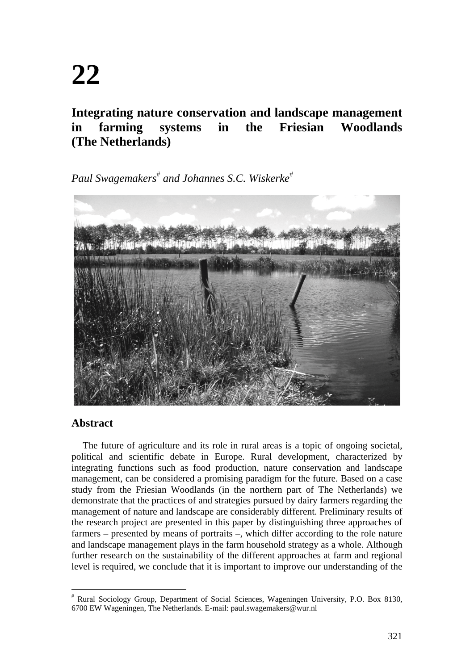# **Integrating nature conservation and landscape management in farming systems in the Friesian Woodlands (The Netherlands)**

 $Paul \ Swagemakers^{\#}$  and Johannes S.C. Wiskerke<sup>#</sup>



# **Abstract**

The future of agriculture and its role in rural areas is a topic of ongoing societal, political and scientific debate in Europe. Rural development, characterized by integrating functions such as food production, nature conservation and landscape management, can be considered a promising paradigm for the future. Based on a case study from the Friesian Woodlands (in the northern part of The Netherlands) we demonstrate that the practices of and strategies pursued by dairy farmers regarding the management of nature and landscape are considerably different. Preliminary results of the research project are presented in this paper by distinguishing three approaches of farmers – presented by means of portraits –, which differ according to the role nature and landscape management plays in the farm household strategy as a whole. Although further research on the sustainability of the different approaches at farm and regional level is required, we conclude that it is important to improve our understanding of the

 Rural Sociology Group, Department of Social Sciences, Wageningen University, P.O. Box 8130, 6700 EW Wageningen, The Netherlands. E-mail: paul.swagemakers@wur.nl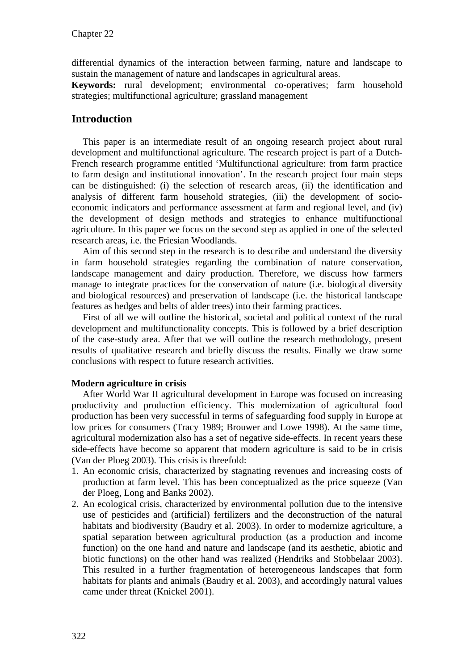differential dynamics of the interaction between farming, nature and landscape to sustain the management of nature and landscapes in agricultural areas.

**Keywords:** rural development; environmental co-operatives; farm household strategies; multifunctional agriculture; grassland management

# **Introduction**

This paper is an intermediate result of an ongoing research project about rural development and multifunctional agriculture. The research project is part of a Dutch-French research programme entitled 'Multifunctional agriculture: from farm practice to farm design and institutional innovation'. In the research project four main steps can be distinguished: (i) the selection of research areas, (ii) the identification and analysis of different farm household strategies, (iii) the development of socioeconomic indicators and performance assessment at farm and regional level, and (iv) the development of design methods and strategies to enhance multifunctional agriculture. In this paper we focus on the second step as applied in one of the selected research areas, i.e. the Friesian Woodlands.

Aim of this second step in the research is to describe and understand the diversity in farm household strategies regarding the combination of nature conservation, landscape management and dairy production. Therefore, we discuss how farmers manage to integrate practices for the conservation of nature (i.e. biological diversity and biological resources) and preservation of landscape (i.e. the historical landscape features as hedges and belts of alder trees) into their farming practices.

First of all we will outline the historical, societal and political context of the rural development and multifunctionality concepts. This is followed by a brief description of the case-study area. After that we will outline the research methodology, present results of qualitative research and briefly discuss the results. Finally we draw some conclusions with respect to future research activities.

#### **Modern agriculture in crisis**

After World War II agricultural development in Europe was focused on increasing productivity and production efficiency. This modernization of agricultural food production has been very successful in terms of safeguarding food supply in Europe at low prices for consumers (Tracy 1989; Brouwer and Lowe 1998). At the same time, agricultural modernization also has a set of negative side-effects. In recent years these side-effects have become so apparent that modern agriculture is said to be in crisis (Van der Ploeg 2003). This crisis is threefold:

- 1. An economic crisis, characterized by stagnating revenues and increasing costs of production at farm level. This has been conceptualized as the price squeeze (Van der Ploeg, Long and Banks 2002).
- 2. An ecological crisis, characterized by environmental pollution due to the intensive use of pesticides and (artificial) fertilizers and the deconstruction of the natural habitats and biodiversity (Baudry et al. 2003). In order to modernize agriculture, a spatial separation between agricultural production (as a production and income function) on the one hand and nature and landscape (and its aesthetic, abiotic and biotic functions) on the other hand was realized (Hendriks and Stobbelaar 2003). This resulted in a further fragmentation of heterogeneous landscapes that form habitats for plants and animals (Baudry et al. 2003), and accordingly natural values came under threat (Knickel 2001).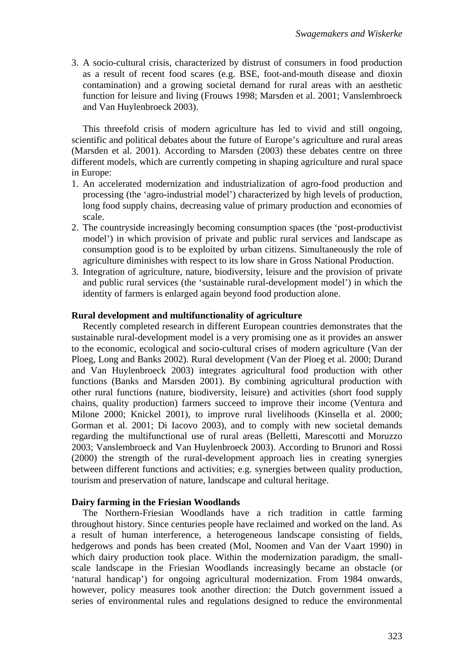3. A socio-cultural crisis, characterized by distrust of consumers in food production as a result of recent food scares (e.g. BSE, foot-and-mouth disease and dioxin contamination) and a growing societal demand for rural areas with an aesthetic function for leisure and living (Frouws 1998; Marsden et al. 2001; Vanslembroeck and Van Huylenbroeck 2003).

This threefold crisis of modern agriculture has led to vivid and still ongoing, scientific and political debates about the future of Europe's agriculture and rural areas (Marsden et al. 2001). According to Marsden (2003) these debates centre on three different models, which are currently competing in shaping agriculture and rural space in Europe:

- 1. An accelerated modernization and industrialization of agro-food production and processing (the 'agro-industrial model') characterized by high levels of production, long food supply chains, decreasing value of primary production and economies of scale.
- 2. The countryside increasingly becoming consumption spaces (the 'post-productivist model') in which provision of private and public rural services and landscape as consumption good is to be exploited by urban citizens. Simultaneously the role of agriculture diminishes with respect to its low share in Gross National Production.
- 3. Integration of agriculture, nature, biodiversity, leisure and the provision of private and public rural services (the 'sustainable rural-development model') in which the identity of farmers is enlarged again beyond food production alone.

#### **Rural development and multifunctionality of agriculture**

Recently completed research in different European countries demonstrates that the sustainable rural-development model is a very promising one as it provides an answer to the economic, ecological and socio-cultural crises of modern agriculture (Van der Ploeg, Long and Banks 2002). Rural development (Van der Ploeg et al. 2000; Durand and Van Huylenbroeck 2003) integrates agricultural food production with other functions (Banks and Marsden 2001). By combining agricultural production with other rural functions (nature, biodiversity, leisure) and activities (short food supply chains, quality production) farmers succeed to improve their income (Ventura and Milone 2000; Knickel 2001), to improve rural livelihoods (Kinsella et al. 2000; Gorman et al. 2001; Di Iacovo 2003), and to comply with new societal demands regarding the multifunctional use of rural areas (Belletti, Marescotti and Moruzzo 2003; Vanslembroeck and Van Huylenbroeck 2003). According to Brunori and Rossi (2000) the strength of the rural-development approach lies in creating synergies between different functions and activities; e.g. synergies between quality production, tourism and preservation of nature, landscape and cultural heritage.

#### **Dairy farming in the Friesian Woodlands**

The Northern-Friesian Woodlands have a rich tradition in cattle farming throughout history. Since centuries people have reclaimed and worked on the land. As a result of human interference, a heterogeneous landscape consisting of fields, hedgerows and ponds has been created (Mol, Noomen and Van der Vaart 1990) in which dairy production took place. Within the modernization paradigm, the smallscale landscape in the Friesian Woodlands increasingly became an obstacle (or 'natural handicap') for ongoing agricultural modernization. From 1984 onwards, however, policy measures took another direction: the Dutch government issued a series of environmental rules and regulations designed to reduce the environmental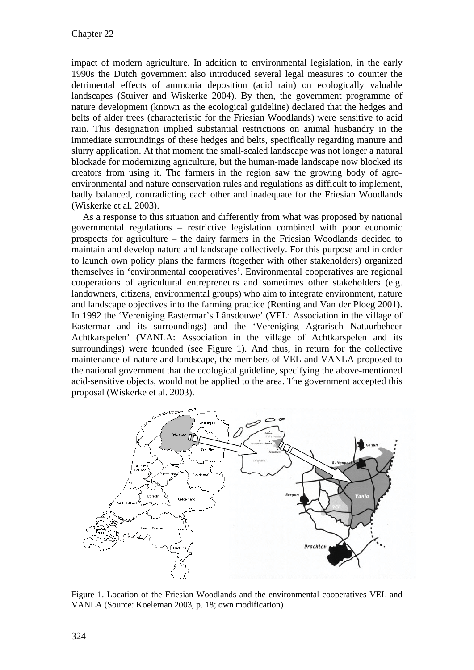impact of modern agriculture. In addition to environmental legislation, in the early 1990s the Dutch government also introduced several legal measures to counter the detrimental effects of ammonia deposition (acid rain) on ecologically valuable landscapes (Stuiver and Wiskerke 2004). By then, the government programme of nature development (known as the ecological guideline) declared that the hedges and belts of alder trees (characteristic for the Friesian Woodlands) were sensitive to acid rain. This designation implied substantial restrictions on animal husbandry in the immediate surroundings of these hedges and belts, specifically regarding manure and slurry application. At that moment the small-scaled landscape was not longer a natural blockade for modernizing agriculture, but the human-made landscape now blocked its creators from using it. The farmers in the region saw the growing body of agroenvironmental and nature conservation rules and regulations as difficult to implement, badly balanced, contradicting each other and inadequate for the Friesian Woodlands (Wiskerke et al. 2003).

As a response to this situation and differently from what was proposed by national governmental regulations – restrictive legislation combined with poor economic prospects for agriculture – the dairy farmers in the Friesian Woodlands decided to maintain and develop nature and landscape collectively. For this purpose and in order to launch own policy plans the farmers (together with other stakeholders) organized themselves in 'environmental cooperatives'. Environmental cooperatives are regional cooperations of agricultural entrepreneurs and sometimes other stakeholders (e.g. landowners, citizens, environmental groups) who aim to integrate environment, nature and landscape objectives into the farming practice (Renting and Van der Ploeg 2001). In 1992 the 'Vereniging Eastermar's Lânsdouwe' (VEL: Association in the village of Eastermar and its surroundings) and the 'Vereniging Agrarisch Natuurbeheer Achtkarspelen' (VANLA: Association in the village of Achtkarspelen and its surroundings) were founded (see Figure 1). And thus, in return for the collective maintenance of nature and landscape, the members of VEL and VANLA proposed to the national government that the ecological guideline, specifying the above-mentioned acid-sensitive objects, would not be applied to the area. The government accepted this proposal (Wiskerke et al. 2003).



Figure 1. Location of the Friesian Woodlands and the environmental cooperatives VEL and VANLA (Source: Koeleman 2003, p. 18; own modification)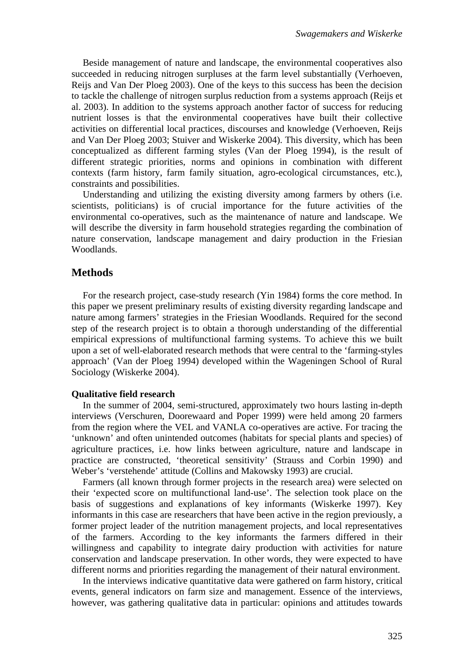Beside management of nature and landscape, the environmental cooperatives also succeeded in reducing nitrogen surpluses at the farm level substantially (Verhoeven, Reijs and Van Der Ploeg 2003). One of the keys to this success has been the decision to tackle the challenge of nitrogen surplus reduction from a systems approach (Reijs et al. 2003). In addition to the systems approach another factor of success for reducing nutrient losses is that the environmental cooperatives have built their collective activities on differential local practices, discourses and knowledge (Verhoeven, Reijs and Van Der Ploeg 2003; Stuiver and Wiskerke 2004). This diversity, which has been conceptualized as different farming styles (Van der Ploeg 1994), is the result of different strategic priorities, norms and opinions in combination with different contexts (farm history, farm family situation, agro-ecological circumstances, etc.), constraints and possibilities.

Understanding and utilizing the existing diversity among farmers by others (i.e. scientists, politicians) is of crucial importance for the future activities of the environmental co-operatives, such as the maintenance of nature and landscape. We will describe the diversity in farm household strategies regarding the combination of nature conservation, landscape management and dairy production in the Friesian Woodlands.

#### **Methods**

For the research project, case-study research (Yin 1984) forms the core method. In this paper we present preliminary results of existing diversity regarding landscape and nature among farmers' strategies in the Friesian Woodlands. Required for the second step of the research project is to obtain a thorough understanding of the differential empirical expressions of multifunctional farming systems. To achieve this we built upon a set of well-elaborated research methods that were central to the 'farming-styles approach' (Van der Ploeg 1994) developed within the Wageningen School of Rural Sociology (Wiskerke 2004).

#### **Qualitative field research**

In the summer of 2004, semi-structured, approximately two hours lasting in-depth interviews (Verschuren, Doorewaard and Poper 1999) were held among 20 farmers from the region where the VEL and VANLA co-operatives are active. For tracing the 'unknown' and often unintended outcomes (habitats for special plants and species) of agriculture practices, i.e. how links between agriculture, nature and landscape in practice are constructed, 'theoretical sensitivity' (Strauss and Corbin 1990) and Weber's 'verstehende' attitude (Collins and Makowsky 1993) are crucial.

Farmers (all known through former projects in the research area) were selected on their 'expected score on multifunctional land-use'. The selection took place on the basis of suggestions and explanations of key informants (Wiskerke 1997). Key informants in this case are researchers that have been active in the region previously, a former project leader of the nutrition management projects, and local representatives of the farmers. According to the key informants the farmers differed in their willingness and capability to integrate dairy production with activities for nature conservation and landscape preservation. In other words, they were expected to have different norms and priorities regarding the management of their natural environment.

In the interviews indicative quantitative data were gathered on farm history, critical events, general indicators on farm size and management. Essence of the interviews, however, was gathering qualitative data in particular: opinions and attitudes towards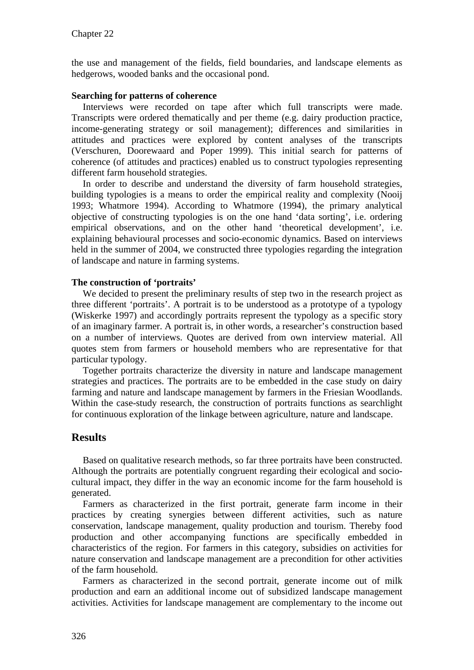the use and management of the fields, field boundaries, and landscape elements as hedgerows, wooded banks and the occasional pond.

#### **Searching for patterns of coherence**

Interviews were recorded on tape after which full transcripts were made. Transcripts were ordered thematically and per theme (e.g. dairy production practice, income-generating strategy or soil management); differences and similarities in attitudes and practices were explored by content analyses of the transcripts (Verschuren, Doorewaard and Poper 1999). This initial search for patterns of coherence (of attitudes and practices) enabled us to construct typologies representing different farm household strategies.

In order to describe and understand the diversity of farm household strategies, building typologies is a means to order the empirical reality and complexity (Nooij 1993; Whatmore 1994). According to Whatmore (1994), the primary analytical objective of constructing typologies is on the one hand 'data sorting', i.e. ordering empirical observations, and on the other hand 'theoretical development', i.e. explaining behavioural processes and socio-economic dynamics. Based on interviews held in the summer of 2004, we constructed three typologies regarding the integration of landscape and nature in farming systems.

#### **The construction of 'portraits'**

We decided to present the preliminary results of step two in the research project as three different 'portraits'. A portrait is to be understood as a prototype of a typology (Wiskerke 1997) and accordingly portraits represent the typology as a specific story of an imaginary farmer. A portrait is, in other words, a researcher's construction based on a number of interviews. Quotes are derived from own interview material. All quotes stem from farmers or household members who are representative for that particular typology.

Together portraits characterize the diversity in nature and landscape management strategies and practices. The portraits are to be embedded in the case study on dairy farming and nature and landscape management by farmers in the Friesian Woodlands. Within the case-study research, the construction of portraits functions as searchlight for continuous exploration of the linkage between agriculture, nature and landscape.

# **Results**

Based on qualitative research methods, so far three portraits have been constructed. Although the portraits are potentially congruent regarding their ecological and sociocultural impact, they differ in the way an economic income for the farm household is generated.

Farmers as characterized in the first portrait, generate farm income in their practices by creating synergies between different activities, such as nature conservation, landscape management, quality production and tourism. Thereby food production and other accompanying functions are specifically embedded in characteristics of the region. For farmers in this category, subsidies on activities for nature conservation and landscape management are a precondition for other activities of the farm household.

Farmers as characterized in the second portrait, generate income out of milk production and earn an additional income out of subsidized landscape management activities. Activities for landscape management are complementary to the income out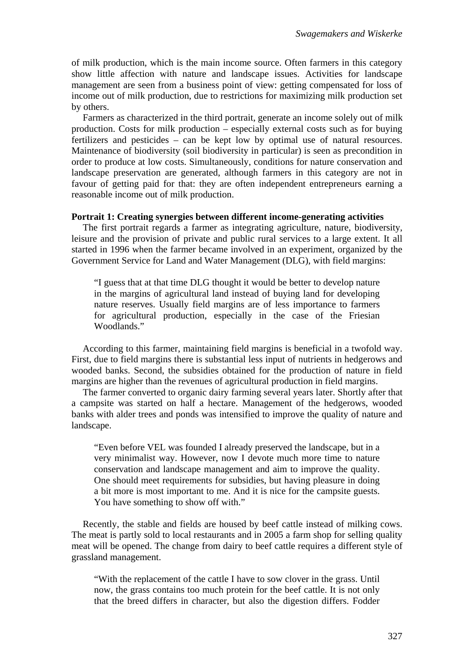of milk production, which is the main income source. Often farmers in this category show little affection with nature and landscape issues. Activities for landscape management are seen from a business point of view: getting compensated for loss of income out of milk production, due to restrictions for maximizing milk production set by others.

Farmers as characterized in the third portrait, generate an income solely out of milk production. Costs for milk production – especially external costs such as for buying fertilizers and pesticides – can be kept low by optimal use of natural resources. Maintenance of biodiversity (soil biodiversity in particular) is seen as precondition in order to produce at low costs. Simultaneously, conditions for nature conservation and landscape preservation are generated, although farmers in this category are not in favour of getting paid for that: they are often independent entrepreneurs earning a reasonable income out of milk production.

#### **Portrait 1: Creating synergies between different income-generating activities**

The first portrait regards a farmer as integrating agriculture, nature, biodiversity, leisure and the provision of private and public rural services to a large extent. It all started in 1996 when the farmer became involved in an experiment, organized by the Government Service for Land and Water Management (DLG), with field margins:

"I guess that at that time DLG thought it would be better to develop nature in the margins of agricultural land instead of buying land for developing nature reserves. Usually field margins are of less importance to farmers for agricultural production, especially in the case of the Friesian Woodlands."

According to this farmer, maintaining field margins is beneficial in a twofold way. First, due to field margins there is substantial less input of nutrients in hedgerows and wooded banks. Second, the subsidies obtained for the production of nature in field margins are higher than the revenues of agricultural production in field margins.

The farmer converted to organic dairy farming several years later. Shortly after that a campsite was started on half a hectare. Management of the hedgerows, wooded banks with alder trees and ponds was intensified to improve the quality of nature and landscape.

"Even before VEL was founded I already preserved the landscape, but in a very minimalist way. However, now I devote much more time to nature conservation and landscape management and aim to improve the quality. One should meet requirements for subsidies, but having pleasure in doing a bit more is most important to me. And it is nice for the campsite guests. You have something to show off with."

Recently, the stable and fields are housed by beef cattle instead of milking cows. The meat is partly sold to local restaurants and in 2005 a farm shop for selling quality meat will be opened. The change from dairy to beef cattle requires a different style of grassland management.

"With the replacement of the cattle I have to sow clover in the grass. Until now, the grass contains too much protein for the beef cattle. It is not only that the breed differs in character, but also the digestion differs. Fodder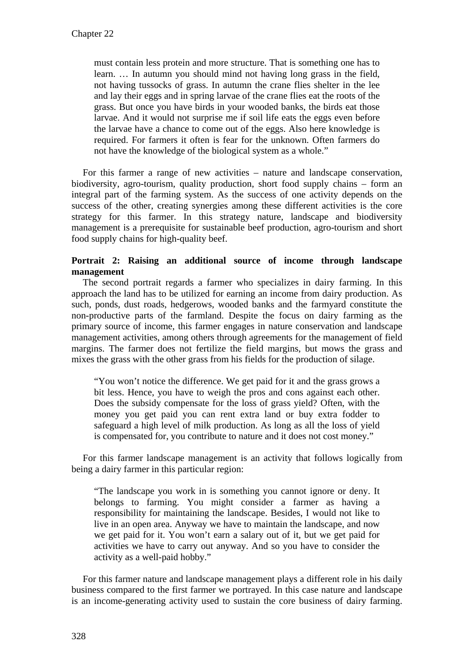must contain less protein and more structure. That is something one has to learn. … In autumn you should mind not having long grass in the field, not having tussocks of grass. In autumn the crane flies shelter in the lee and lay their eggs and in spring larvae of the crane flies eat the roots of the grass. But once you have birds in your wooded banks, the birds eat those larvae. And it would not surprise me if soil life eats the eggs even before the larvae have a chance to come out of the eggs. Also here knowledge is required. For farmers it often is fear for the unknown. Often farmers do not have the knowledge of the biological system as a whole."

For this farmer a range of new activities – nature and landscape conservation, biodiversity, agro-tourism, quality production, short food supply chains – form an integral part of the farming system. As the success of one activity depends on the success of the other, creating synergies among these different activities is the core strategy for this farmer. In this strategy nature, landscape and biodiversity management is a prerequisite for sustainable beef production, agro-tourism and short food supply chains for high-quality beef.

### **Portrait 2: Raising an additional source of income through landscape management**

The second portrait regards a farmer who specializes in dairy farming. In this approach the land has to be utilized for earning an income from dairy production. As such, ponds, dust roads, hedgerows, wooded banks and the farmyard constitute the non-productive parts of the farmland. Despite the focus on dairy farming as the primary source of income, this farmer engages in nature conservation and landscape management activities, among others through agreements for the management of field margins. The farmer does not fertilize the field margins, but mows the grass and mixes the grass with the other grass from his fields for the production of silage.

"You won't notice the difference. We get paid for it and the grass grows a bit less. Hence, you have to weigh the pros and cons against each other. Does the subsidy compensate for the loss of grass yield? Often, with the money you get paid you can rent extra land or buy extra fodder to safeguard a high level of milk production. As long as all the loss of yield is compensated for, you contribute to nature and it does not cost money."

For this farmer landscape management is an activity that follows logically from being a dairy farmer in this particular region:

"The landscape you work in is something you cannot ignore or deny. It belongs to farming. You might consider a farmer as having a responsibility for maintaining the landscape. Besides, I would not like to live in an open area. Anyway we have to maintain the landscape, and now we get paid for it. You won't earn a salary out of it, but we get paid for activities we have to carry out anyway. And so you have to consider the activity as a well-paid hobby."

For this farmer nature and landscape management plays a different role in his daily business compared to the first farmer we portrayed. In this case nature and landscape is an income-generating activity used to sustain the core business of dairy farming.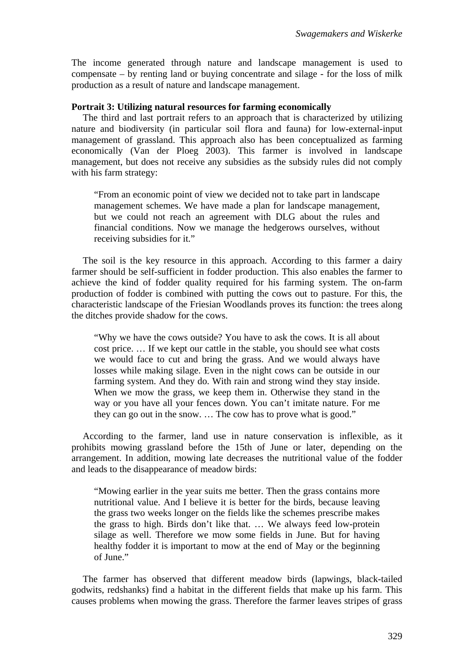The income generated through nature and landscape management is used to compensate – by renting land or buying concentrate and silage - for the loss of milk production as a result of nature and landscape management.

#### **Portrait 3: Utilizing natural resources for farming economically**

The third and last portrait refers to an approach that is characterized by utilizing nature and biodiversity (in particular soil flora and fauna) for low-external-input management of grassland. This approach also has been conceptualized as farming economically (Van der Ploeg 2003). This farmer is involved in landscape management, but does not receive any subsidies as the subsidy rules did not comply with his farm strategy:

"From an economic point of view we decided not to take part in landscape management schemes. We have made a plan for landscape management, but we could not reach an agreement with DLG about the rules and financial conditions. Now we manage the hedgerows ourselves, without receiving subsidies for it."

The soil is the key resource in this approach. According to this farmer a dairy farmer should be self-sufficient in fodder production. This also enables the farmer to achieve the kind of fodder quality required for his farming system. The on-farm production of fodder is combined with putting the cows out to pasture. For this, the characteristic landscape of the Friesian Woodlands proves its function: the trees along the ditches provide shadow for the cows.

"Why we have the cows outside? You have to ask the cows. It is all about cost price. … If we kept our cattle in the stable, you should see what costs we would face to cut and bring the grass. And we would always have losses while making silage. Even in the night cows can be outside in our farming system. And they do. With rain and strong wind they stay inside. When we mow the grass, we keep them in. Otherwise they stand in the way or you have all your fences down. You can't imitate nature. For me they can go out in the snow. … The cow has to prove what is good."

According to the farmer, land use in nature conservation is inflexible, as it prohibits mowing grassland before the 15th of June or later, depending on the arrangement. In addition, mowing late decreases the nutritional value of the fodder and leads to the disappearance of meadow birds:

"Mowing earlier in the year suits me better. Then the grass contains more nutritional value. And I believe it is better for the birds, because leaving the grass two weeks longer on the fields like the schemes prescribe makes the grass to high. Birds don't like that. … We always feed low-protein silage as well. Therefore we mow some fields in June. But for having healthy fodder it is important to mow at the end of May or the beginning of June."

The farmer has observed that different meadow birds (lapwings, black-tailed godwits, redshanks) find a habitat in the different fields that make up his farm. This causes problems when mowing the grass. Therefore the farmer leaves stripes of grass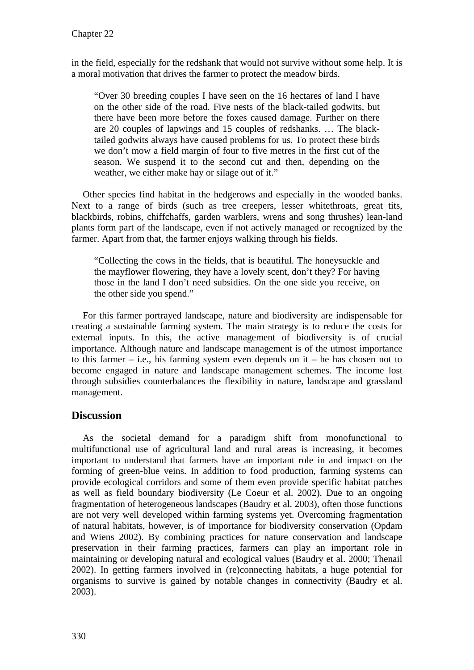in the field, especially for the redshank that would not survive without some help. It is a moral motivation that drives the farmer to protect the meadow birds.

"Over 30 breeding couples I have seen on the 16 hectares of land I have on the other side of the road. Five nests of the black-tailed godwits, but there have been more before the foxes caused damage. Further on there are 20 couples of lapwings and 15 couples of redshanks. … The blacktailed godwits always have caused problems for us. To protect these birds we don't mow a field margin of four to five metres in the first cut of the season. We suspend it to the second cut and then, depending on the weather, we either make hay or silage out of it."

Other species find habitat in the hedgerows and especially in the wooded banks. Next to a range of birds (such as tree creepers, lesser whitethroats, great tits, blackbirds, robins, chiffchaffs, garden warblers, wrens and song thrushes) lean-land plants form part of the landscape, even if not actively managed or recognized by the farmer. Apart from that, the farmer enjoys walking through his fields.

"Collecting the cows in the fields, that is beautiful. The honeysuckle and the mayflower flowering, they have a lovely scent, don't they? For having those in the land I don't need subsidies. On the one side you receive, on the other side you spend."

For this farmer portrayed landscape, nature and biodiversity are indispensable for creating a sustainable farming system. The main strategy is to reduce the costs for external inputs. In this, the active management of biodiversity is of crucial importance. Although nature and landscape management is of the utmost importance to this farmer – i.e., his farming system even depends on it – he has chosen not to become engaged in nature and landscape management schemes. The income lost through subsidies counterbalances the flexibility in nature, landscape and grassland management.

# **Discussion**

As the societal demand for a paradigm shift from monofunctional to multifunctional use of agricultural land and rural areas is increasing, it becomes important to understand that farmers have an important role in and impact on the forming of green-blue veins. In addition to food production, farming systems can provide ecological corridors and some of them even provide specific habitat patches as well as field boundary biodiversity (Le Coeur et al. 2002). Due to an ongoing fragmentation of heterogeneous landscapes (Baudry et al. 2003), often those functions are not very well developed within farming systems yet. Overcoming fragmentation of natural habitats, however, is of importance for biodiversity conservation (Opdam and Wiens 2002). By combining practices for nature conservation and landscape preservation in their farming practices, farmers can play an important role in maintaining or developing natural and ecological values (Baudry et al. 2000; Thenail 2002). In getting farmers involved in (re)connecting habitats, a huge potential for organisms to survive is gained by notable changes in connectivity (Baudry et al. 2003).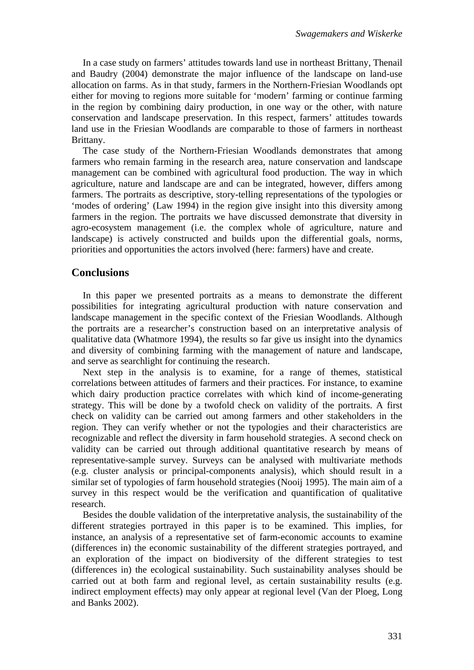In a case study on farmers' attitudes towards land use in northeast Brittany, Thenail and Baudry (2004) demonstrate the major influence of the landscape on land-use allocation on farms. As in that study, farmers in the Northern-Friesian Woodlands opt either for moving to regions more suitable for 'modern' farming or continue farming in the region by combining dairy production, in one way or the other, with nature conservation and landscape preservation. In this respect, farmers' attitudes towards land use in the Friesian Woodlands are comparable to those of farmers in northeast Brittany.

The case study of the Northern-Friesian Woodlands demonstrates that among farmers who remain farming in the research area, nature conservation and landscape management can be combined with agricultural food production. The way in which agriculture, nature and landscape are and can be integrated, however, differs among farmers. The portraits as descriptive, story-telling representations of the typologies or 'modes of ordering' (Law 1994) in the region give insight into this diversity among farmers in the region. The portraits we have discussed demonstrate that diversity in agro-ecosystem management (i.e. the complex whole of agriculture, nature and landscape) is actively constructed and builds upon the differential goals, norms, priorities and opportunities the actors involved (here: farmers) have and create.

#### **Conclusions**

In this paper we presented portraits as a means to demonstrate the different possibilities for integrating agricultural production with nature conservation and landscape management in the specific context of the Friesian Woodlands. Although the portraits are a researcher's construction based on an interpretative analysis of qualitative data (Whatmore 1994), the results so far give us insight into the dynamics and diversity of combining farming with the management of nature and landscape, and serve as searchlight for continuing the research.

Next step in the analysis is to examine, for a range of themes, statistical correlations between attitudes of farmers and their practices. For instance, to examine which dairy production practice correlates with which kind of income-generating strategy. This will be done by a twofold check on validity of the portraits. A first check on validity can be carried out among farmers and other stakeholders in the region. They can verify whether or not the typologies and their characteristics are recognizable and reflect the diversity in farm household strategies. A second check on validity can be carried out through additional quantitative research by means of representative-sample survey. Surveys can be analysed with multivariate methods (e.g. cluster analysis or principal-components analysis), which should result in a similar set of typologies of farm household strategies (Nooij 1995). The main aim of a survey in this respect would be the verification and quantification of qualitative research.

Besides the double validation of the interpretative analysis, the sustainability of the different strategies portrayed in this paper is to be examined. This implies, for instance, an analysis of a representative set of farm-economic accounts to examine (differences in) the economic sustainability of the different strategies portrayed, and an exploration of the impact on biodiversity of the different strategies to test (differences in) the ecological sustainability. Such sustainability analyses should be carried out at both farm and regional level, as certain sustainability results (e.g. indirect employment effects) may only appear at regional level (Van der Ploeg, Long and Banks 2002).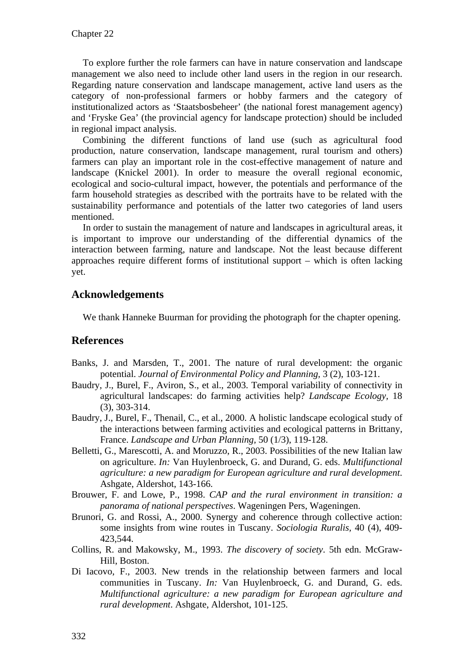To explore further the role farmers can have in nature conservation and landscape management we also need to include other land users in the region in our research. Regarding nature conservation and landscape management, active land users as the category of non-professional farmers or hobby farmers and the category of institutionalized actors as 'Staatsbosbeheer' (the national forest management agency) and 'Fryske Gea' (the provincial agency for landscape protection) should be included in regional impact analysis.

Combining the different functions of land use (such as agricultural food production, nature conservation, landscape management, rural tourism and others) farmers can play an important role in the cost-effective management of nature and landscape (Knickel 2001). In order to measure the overall regional economic, ecological and socio-cultural impact, however, the potentials and performance of the farm household strategies as described with the portraits have to be related with the sustainability performance and potentials of the latter two categories of land users mentioned.

In order to sustain the management of nature and landscapes in agricultural areas, it is important to improve our understanding of the differential dynamics of the interaction between farming, nature and landscape. Not the least because different approaches require different forms of institutional support – which is often lacking yet.

# **Acknowledgements**

We thank Hanneke Buurman for providing the photograph for the chapter opening.

# **References**

- Banks, J. and Marsden, T., 2001. The nature of rural development: the organic potential. *Journal of Environmental Policy and Planning,* 3 (2), 103-121.
- Baudry, J., Burel, F., Aviron, S., et al., 2003. Temporal variability of connectivity in agricultural landscapes: do farming activities help? *Landscape Ecology,* 18 (3), 303-314.
- Baudry, J., Burel, F., Thenail, C., et al., 2000. A holistic landscape ecological study of the interactions between farming activities and ecological patterns in Brittany, France. *Landscape and Urban Planning,* 50 (1/3), 119-128.
- Belletti, G., Marescotti, A. and Moruzzo, R., 2003. Possibilities of the new Italian law on agriculture. *In:* Van Huylenbroeck, G. and Durand, G. eds. *Multifunctional agriculture: a new paradigm for European agriculture and rural development*. Ashgate, Aldershot, 143-166.
- Brouwer, F. and Lowe, P., 1998. *CAP and the rural environment in transition: a panorama of national perspectives*. Wageningen Pers, Wageningen.
- Brunori, G. and Rossi, A., 2000. Synergy and coherence through collective action: some insights from wine routes in Tuscany. *Sociologia Ruralis,* 40 (4), 409- 423,544.
- Collins, R. and Makowsky, M., 1993. *The discovery of society*. 5th edn. McGraw-Hill, Boston.
- Di Iacovo, F., 2003. New trends in the relationship between farmers and local communities in Tuscany. *In:* Van Huylenbroeck, G. and Durand, G. eds. *Multifunctional agriculture: a new paradigm for European agriculture and rural development*. Ashgate, Aldershot, 101-125.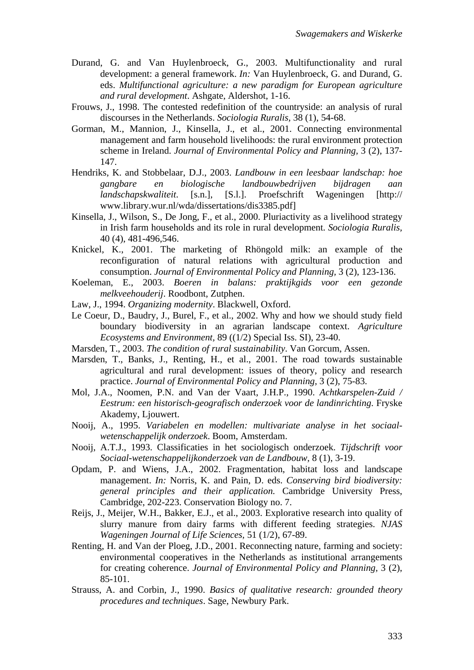- Durand, G. and Van Huylenbroeck, G., 2003. Multifunctionality and rural development: a general framework. *In:* Van Huylenbroeck, G. and Durand, G. eds. *Multifunctional agriculture: a new paradigm for European agriculture and rural development*. Ashgate, Aldershot, 1-16.
- Frouws, J., 1998. The contested redefinition of the countryside: an analysis of rural discourses in the Netherlands. *Sociologia Ruralis,* 38 (1), 54-68.
- Gorman, M., Mannion, J., Kinsella, J., et al., 2001. Connecting environmental management and farm household livelihoods: the rural environment protection scheme in Ireland. *Journal of Environmental Policy and Planning,* 3 (2), 137- 147.
- Hendriks, K. and Stobbelaar, D.J., 2003. *Landbouw in een leesbaar landschap: hoe gangbare en biologische landbouwbedrijven bijdragen aan landschapskwaliteit*. [s.n.], [S.l.]. Proefschrift Wageningen [http:// www.library.wur.nl/wda/dissertations/dis3385.pdf]
- Kinsella, J., Wilson, S., De Jong, F., et al., 2000. Pluriactivity as a livelihood strategy in Irish farm households and its role in rural development. *Sociologia Ruralis,* 40 (4), 481-496,546.
- Knickel, K., 2001. The marketing of Rhöngold milk: an example of the reconfiguration of natural relations with agricultural production and consumption. *Journal of Environmental Policy and Planning,* 3 (2), 123-136.
- Koeleman, E., 2003. *Boeren in balans: praktijkgids voor een gezonde melkveehouderij*. Roodbont, Zutphen.
- Law, J., 1994. *Organizing modernity*. Blackwell, Oxford.
- Le Coeur, D., Baudry, J., Burel, F., et al., 2002. Why and how we should study field boundary biodiversity in an agrarian landscape context. *Agriculture Ecosystems and Environment,* 89 ((1/2) Special Iss. SI), 23-40.
- Marsden, T., 2003. *The condition of rural sustainability*. Van Gorcum, Assen.
- Marsden, T., Banks, J., Renting, H., et al., 2001. The road towards sustainable agricultural and rural development: issues of theory, policy and research practice. *Journal of Environmental Policy and Planning,* 3 (2), 75-83.
- Mol, J.A., Noomen, P.N. and Van der Vaart, J.H.P., 1990. *Achtkarspelen-Zuid / Eestrum: een historisch-geografisch onderzoek voor de landinrichting*. Fryske Akademy, Ljouwert.
- Nooij, A., 1995. *Variabelen en modellen: multivariate analyse in het sociaalwetenschappelijk onderzoek*. Boom, Amsterdam.
- Nooij, A.T.J., 1993. Classificaties in het sociologisch onderzoek. *Tijdschrift voor Sociaal-wetenschappelijkonderzoek van de Landbouw,* 8 (1), 3-19.
- Opdam, P. and Wiens, J.A., 2002. Fragmentation, habitat loss and landscape management. *In:* Norris, K. and Pain, D. eds. *Conserving bird biodiversity: general principles and their application*. Cambridge University Press, Cambridge, 202-223. Conservation Biology no. 7.
- Reijs, J., Meijer, W.H., Bakker, E.J., et al., 2003. Explorative research into quality of slurry manure from dairy farms with different feeding strategies. *NJAS Wageningen Journal of Life Sciences,* 51 (1/2), 67-89.
- Renting, H. and Van der Ploeg, J.D., 2001. Reconnecting nature, farming and society: environmental cooperatives in the Netherlands as institutional arrangements for creating coherence. *Journal of Environmental Policy and Planning,* 3 (2), 85-101.
- Strauss, A. and Corbin, J., 1990. *Basics of qualitative research: grounded theory procedures and techniques*. Sage, Newbury Park.